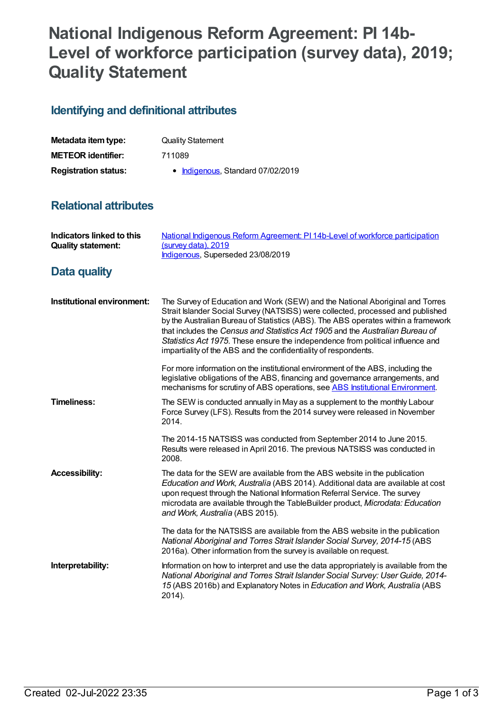## **National Indigenous Reform Agreement: PI 14b-Level of workforce participation (survey data), 2019; Quality Statement**

## **Identifying and definitional attributes**

| Metadata item type:         | <b>Quality Statement</b>          |
|-----------------------------|-----------------------------------|
| <b>METEOR identifier:</b>   | 711089                            |
| <b>Registration status:</b> | • Indigenous, Standard 07/02/2019 |

## **Relational attributes**

| <b>Indicators linked to this</b><br><b>Quality statement:</b> | National Indigenous Reform Agreement: PI 14b-Level of workforce participation<br>(survey data), 2019<br>Indigenous, Superseded 23/08/2019                                                                                                                                                                                                                                                                                                                                                    |
|---------------------------------------------------------------|----------------------------------------------------------------------------------------------------------------------------------------------------------------------------------------------------------------------------------------------------------------------------------------------------------------------------------------------------------------------------------------------------------------------------------------------------------------------------------------------|
| Data quality                                                  |                                                                                                                                                                                                                                                                                                                                                                                                                                                                                              |
| Institutional environment:                                    | The Survey of Education and Work (SEW) and the National Aboriginal and Torres<br>Strait Islander Social Survey (NATSISS) were collected, processed and published<br>by the Australian Bureau of Statistics (ABS). The ABS operates within a framework<br>that includes the Census and Statistics Act 1905 and the Australian Bureau of<br>Statistics Act 1975. These ensure the independence from political influence and<br>impartiality of the ABS and the confidentiality of respondents. |
|                                                               | For more information on the institutional environment of the ABS, including the<br>legislative obligations of the ABS, financing and governance arrangements, and<br>mechanisms for scrutiny of ABS operations, see ABS Institutional Environment.                                                                                                                                                                                                                                           |
| <b>Timeliness:</b>                                            | The SEW is conducted annually in May as a supplement to the monthly Labour<br>Force Survey (LFS). Results from the 2014 survey were released in November<br>2014.                                                                                                                                                                                                                                                                                                                            |
|                                                               | The 2014-15 NATSISS was conducted from September 2014 to June 2015.<br>Results were released in April 2016. The previous NATSISS was conducted in<br>2008.                                                                                                                                                                                                                                                                                                                                   |
| <b>Accessibility:</b>                                         | The data for the SEW are available from the ABS website in the publication<br>Education and Work, Australia (ABS 2014). Additional data are available at cost<br>upon request through the National Information Referral Service. The survey<br>microdata are available through the TableBuilder product, Microdata: Education<br>and Work, Australia (ABS 2015).                                                                                                                             |
|                                                               | The data for the NATSISS are available from the ABS website in the publication<br>National Aboriginal and Torres Strait Islander Social Survey, 2014-15 (ABS<br>2016a). Other information from the survey is available on request.                                                                                                                                                                                                                                                           |
| Interpretability:                                             | Information on how to interpret and use the data appropriately is available from the<br>National Aboriginal and Torres Strait Islander Social Survey: User Guide, 2014-<br>15 (ABS 2016b) and Explanatory Notes in Education and Work, Australia (ABS<br>2014).                                                                                                                                                                                                                              |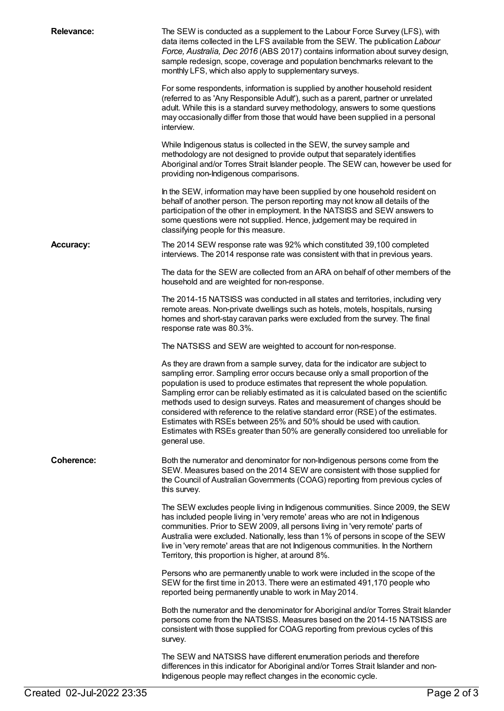| <b>Relevance:</b> | The SEW is conducted as a supplement to the Labour Force Survey (LFS), with<br>data items collected in the LFS available from the SEW. The publication Labour<br>Force, Australia, Dec 2016 (ABS 2017) contains information about survey design,<br>sample redesign, scope, coverage and population benchmarks relevant to the<br>monthly LFS, which also apply to supplementary surveys.                                                                                                                                                                                                                                                                                           |
|-------------------|-------------------------------------------------------------------------------------------------------------------------------------------------------------------------------------------------------------------------------------------------------------------------------------------------------------------------------------------------------------------------------------------------------------------------------------------------------------------------------------------------------------------------------------------------------------------------------------------------------------------------------------------------------------------------------------|
|                   | For some respondents, information is supplied by another household resident<br>(referred to as 'Any Responsible Adult'), such as a parent, partner or unrelated<br>adult. While this is a standard survey methodology, answers to some questions<br>may occasionally differ from those that would have been supplied in a personal<br>interview.                                                                                                                                                                                                                                                                                                                                    |
|                   | While Indigenous status is collected in the SEW, the survey sample and<br>methodology are not designed to provide output that separately identifies<br>Aboriginal and/or Torres Strait Islander people. The SEW can, however be used for<br>providing non-Indigenous comparisons.                                                                                                                                                                                                                                                                                                                                                                                                   |
|                   | In the SEW, information may have been supplied by one household resident on<br>behalf of another person. The person reporting may not know all details of the<br>participation of the other in employment. In the NATSISS and SEW answers to<br>some questions were not supplied. Hence, judgement may be required in<br>classifying people for this measure.                                                                                                                                                                                                                                                                                                                       |
| <b>Accuracy:</b>  | The 2014 SEW response rate was 92% which constituted 39,100 completed<br>interviews. The 2014 response rate was consistent with that in previous years.                                                                                                                                                                                                                                                                                                                                                                                                                                                                                                                             |
|                   | The data for the SEW are collected from an ARA on behalf of other members of the<br>household and are weighted for non-response.                                                                                                                                                                                                                                                                                                                                                                                                                                                                                                                                                    |
|                   | The 2014-15 NATSISS was conducted in all states and territories, including very<br>remote areas. Non-private dwellings such as hotels, motels, hospitals, nursing<br>homes and short-stay caravan parks were excluded from the survey. The final<br>response rate was 80.3%.                                                                                                                                                                                                                                                                                                                                                                                                        |
|                   | The NATSISS and SEW are weighted to account for non-response.                                                                                                                                                                                                                                                                                                                                                                                                                                                                                                                                                                                                                       |
|                   | As they are drawn from a sample survey, data for the indicator are subject to<br>sampling error. Sampling error occurs because only a small proportion of the<br>population is used to produce estimates that represent the whole population.<br>Sampling error can be reliably estimated as it is calculated based on the scientific<br>methods used to design surveys. Rates and measurement of changes should be<br>considered with reference to the relative standard error (RSE) of the estimates.<br>Estimates with RSEs between 25% and 50% should be used with caution.<br>Estimates with RSEs greater than 50% are generally considered too unreliable for<br>general use. |
| <b>Coherence:</b> | Both the numerator and denominator for non-Indigenous persons come from the<br>SEW. Measures based on the 2014 SEW are consistent with those supplied for<br>the Council of Australian Governments (COAG) reporting from previous cycles of<br>this survey.                                                                                                                                                                                                                                                                                                                                                                                                                         |
|                   | The SEW excludes people living in Indigenous communities. Since 2009, the SEW<br>has included people living in 'very remote' areas who are not in Indigenous<br>communities. Prior to SEW 2009, all persons living in 'very remote' parts of<br>Australia were excluded. Nationally, less than 1% of persons in scope of the SEW<br>live in 'very remote' areas that are not Indigenous communities. In the Northern<br>Territory, this proportion is higher, at around 8%.                                                                                                                                                                                                         |
|                   | Persons who are permanently unable to work were included in the scope of the<br>SEW for the first time in 2013. There were an estimated 491,170 people who<br>reported being permanently unable to work in May 2014.                                                                                                                                                                                                                                                                                                                                                                                                                                                                |
|                   | Both the numerator and the denominator for Aboriginal and/or Torres Strait Islander<br>persons come from the NATSISS. Measures based on the 2014-15 NATSISS are<br>consistent with those supplied for COAG reporting from previous cycles of this<br>survey.                                                                                                                                                                                                                                                                                                                                                                                                                        |
|                   | The SEW and NATSISS have different enumeration periods and therefore<br>differences in this indicator for Aboriginal and/or Torres Strait Islander and non-<br>Indigenous people may reflect changes in the economic cycle.                                                                                                                                                                                                                                                                                                                                                                                                                                                         |